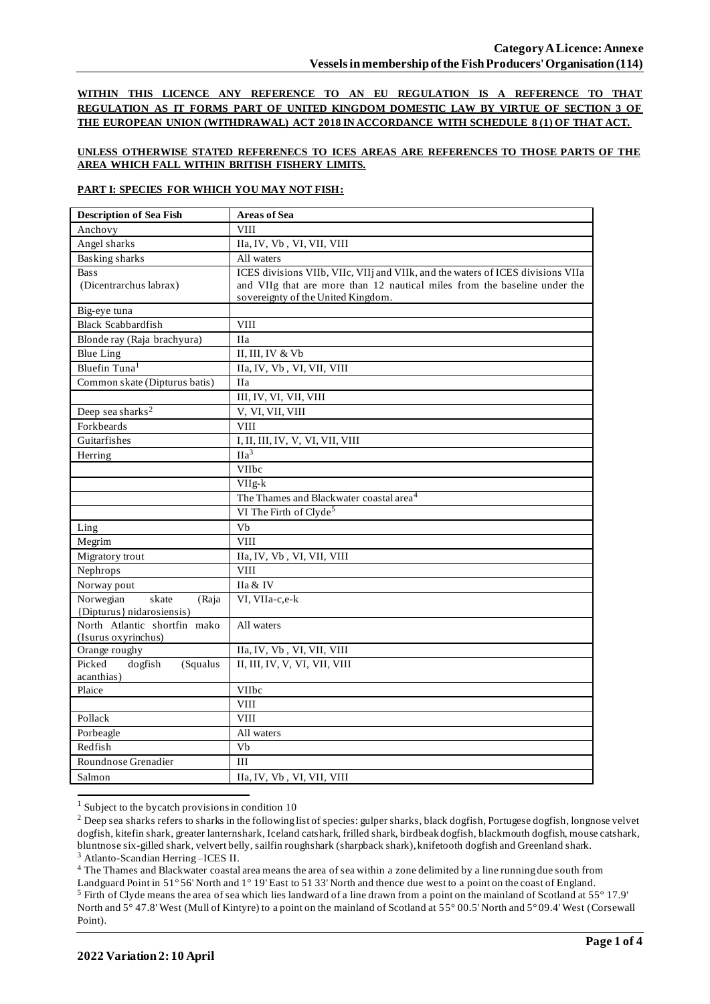**WITHIN THIS LICENCE ANY REFERENCE TO AN EU REGULATION IS A REFERENCE TO THAT REGULATION AS IT FORMS PART OF UNITED KINGDOM DOMESTIC LAW BY VIRTUE OF SECTION 3 OF THE EUROPEAN UNION (WITHDRAWAL) ACT 2018 IN ACCORDANCE WITH SCHEDULE 8 (1) OF THAT ACT.**

### **UNLESS OTHERWISE STATED REFERENECS TO ICES AREAS ARE REFERENCES TO THOSE PARTS OF THE AREA WHICH FALL WITHIN BRITISH FISHERY LIMITS.**

### **PART I: SPECIES FOR WHICH YOU MAY NOT FISH:**

| <b>Description of Sea Fish</b>    | <b>Areas of Sea</b>                                                             |  |  |
|-----------------------------------|---------------------------------------------------------------------------------|--|--|
| Anchovy                           | <b>VIII</b>                                                                     |  |  |
| Angel sharks                      | IIa, IV, Vb, VI, VII, VIII                                                      |  |  |
| <b>Basking sharks</b>             | All waters                                                                      |  |  |
| <b>Bass</b>                       | ICES divisions VIIb, VIIc, VIIj and VIIk, and the waters of ICES divisions VIIa |  |  |
| (Dicentrarchus labrax)            | and VIIg that are more than 12 nautical miles from the baseline under the       |  |  |
|                                   | sovereignty of the United Kingdom.                                              |  |  |
| Big-eye tuna                      |                                                                                 |  |  |
| <b>Black Scabbardfish</b>         | <b>VIII</b>                                                                     |  |  |
| Blonde ray (Raja brachyura)       | IIa                                                                             |  |  |
| <b>Blue Ling</b>                  | II, III, IV & Vb                                                                |  |  |
| Bluefin Tuna <sup>1</sup>         | IIa, IV, Vb, VI, VII, VIII                                                      |  |  |
| Common skate (Dipturus batis)     | <b>IIa</b>                                                                      |  |  |
|                                   | III, IV, VI, VII, VIII                                                          |  |  |
| Deep sea sharks <sup>2</sup>      | V, VI, VII, VIII                                                                |  |  |
| Forkbeards                        | <b>VIII</b>                                                                     |  |  |
| Guitarfishes                      | I, II, III, IV, V, VI, VII, VIII                                                |  |  |
| Herring                           | $\overline{\text{IIa}^3}$                                                       |  |  |
|                                   | VIIbc                                                                           |  |  |
|                                   | VIIg-k                                                                          |  |  |
|                                   | The Thames and Blackwater coastal area <sup>4</sup>                             |  |  |
|                                   | VI The Firth of Clyde <sup>5</sup>                                              |  |  |
| Ling                              | Vb                                                                              |  |  |
| Megrim                            | <b>VIII</b>                                                                     |  |  |
| Migratory trout                   | IIa, IV, Vb, VI, VII, VIII                                                      |  |  |
| Nephrops                          | <b>VIII</b>                                                                     |  |  |
| Norway pout                       | IIa & IV                                                                        |  |  |
| Norwegian<br>skate<br>(Raja       | VI, VIIa-c,e-k                                                                  |  |  |
| {Dipturus} nidarosiensis}         |                                                                                 |  |  |
| North Atlantic shortfin mako      | All waters                                                                      |  |  |
| (Isurus oxyrinchus)               |                                                                                 |  |  |
| Orange roughy<br>Picked           | IIa, IV, Vb, VI, VII, VIII                                                      |  |  |
| dogfish<br>(Squalus<br>acanthias) | II, III, IV, V, VI, VII, VIII                                                   |  |  |
| Plaice                            | VIIbc                                                                           |  |  |
|                                   | <b>VIII</b>                                                                     |  |  |
| Pollack                           | <b>VIII</b>                                                                     |  |  |
| Porbeagle                         | All waters                                                                      |  |  |
| Redfish                           | $\overline{Vb}$                                                                 |  |  |
| Roundnose Grenadier               | III                                                                             |  |  |
| Salmon                            | IIa, IV, Vb, VI, VII, VIII                                                      |  |  |
|                                   |                                                                                 |  |  |

 $1$  Subject to the bycatch provisions in condition 10

<sup>4</sup> The Thames and Blackwater coastal area means the area of sea within a zone delimited by a line running due south from

<sup>&</sup>lt;sup>2</sup> Deep sea sharks refers to sharks in the following list of species: gulper sharks, black dogfish, Portugese dogfish, longnose velvet dogfish, kitefin shark, greater lanternshark, Iceland catshark, frilled shark, birdbeak dogfish, blackmouth dogfish, mouse catshark, bluntnose six-gilled shark, velvert belly, sailfin roughshark (sharpback shark), knifetooth dogfish and Greenland shark. <sup>3</sup> Atlanto-Scandian Herring –ICES II.

Landguard Point in 51° 56' North and 1° 19' East to 51 33' North and thence due west to a point on the coast of England. <sup>5</sup> Firth of Clyde means the area of sea which lies landward of a line drawn from a point on the mainland of Scotland at 55° 17.9' North and 5° 47.8' West (Mull of Kintyre) to a point on the mainland of Scotland at 55° 00.5' North and 5° 09.4' West (Corsewall Point).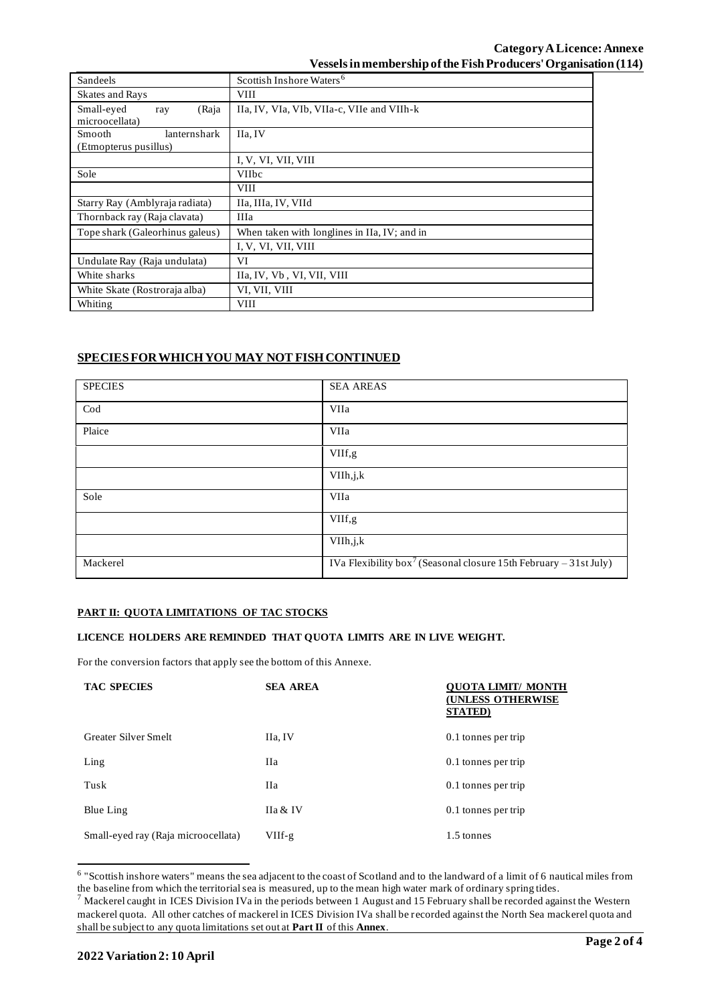# **Category ALicence: Annexe Vessels in membership of the Fish Producers' Organisation (114)**

| Sandeels                                        | Scottish Inshore Waters <sup>6</sup>         |  |  |  |
|-------------------------------------------------|----------------------------------------------|--|--|--|
| <b>Skates and Rays</b>                          | <b>VIII</b>                                  |  |  |  |
| Small-eyed<br>(Raja<br>ray<br>microocellata)    | IIa, IV, VIa, VIb, VIIa-c, VIIe and VIIh-k   |  |  |  |
| Smooth<br>lanternshark<br>(Etmopterus pusillus) | IIa, IV                                      |  |  |  |
|                                                 | I, V, VI, VII, VIII                          |  |  |  |
| Sole                                            | <b>VIIbc</b>                                 |  |  |  |
|                                                 | <b>VIII</b>                                  |  |  |  |
| Starry Ray (Amblyraja radiata)                  | IIa, IIIa, IV, VIId                          |  |  |  |
| Thornback ray (Raja clavata)                    | <b>IIIa</b>                                  |  |  |  |
| Tope shark (Galeorhinus galeus)                 | When taken with longlines in IIa, IV; and in |  |  |  |
|                                                 | I, V, VI, VII, VIII                          |  |  |  |
| Undulate Ray (Raja undulata)                    | VI                                           |  |  |  |
| White sharks                                    | IIa, IV, Vb, VI, VII, VIII                   |  |  |  |
| White Skate (Rostroraja alba)                   | VI, VII, VIII                                |  |  |  |
| Whiting                                         | VIII                                         |  |  |  |

# **SPECIES FOR WHICH YOU MAY NOT FISH CONTINUED**

| <b>SPECIES</b> | <b>SEA AREAS</b>                                                              |
|----------------|-------------------------------------------------------------------------------|
| $\mathrm{Cod}$ | VIIa                                                                          |
| Plaice         | VIIa                                                                          |
|                | VIIf,g                                                                        |
|                | VIIh, j, k                                                                    |
| Sole           | VIIa                                                                          |
|                | VIIf,g                                                                        |
|                | VIIh, j, k                                                                    |
| Mackerel       | IVa Flexibility box <sup>7</sup> (Seasonal closure 15th February - 31st July) |

### **PART II: QUOTA LIMITATIONS OF TAC STOCKS**

### **LICENCE HOLDERS ARE REMINDED THAT QUOTA LIMITS ARE IN LIVE WEIGHT.**

For the conversion factors that apply see the bottom of this Annexe.

| <b>TAC SPECIES</b>                  | <b>SEA AREA</b>    | UOTA LIMIT/ MONTH<br><b>(UNLESS OTHERWISE</b><br><b>STATED</b> ) |
|-------------------------------------|--------------------|------------------------------------------------------------------|
| <b>Greater Silver Smelt</b>         | IIa, IV            | 0.1 tonnes per trip                                              |
| $L$ ing                             | Нa                 | 0.1 tonnes per trip                                              |
| Tusk                                | Hа                 | 0.1 tonnes per trip                                              |
| Blue Ling                           | <b>Ha &amp; IV</b> | 0.1 tonnes per trip                                              |
| Small-eyed ray (Raja microocellata) | VIIf-g             | 1.5 tonnes                                                       |

<sup>&</sup>lt;sup>6</sup> "Scottish inshore waters" means the sea adjacent to the coast of Scotland and to the landward of a limit of 6 nautical miles from the baseline from which the territorial sea is measured, up to the mean high water mark of ordinary spring tides.

 $^7$  Mackerel caught in ICES Division IVa in the periods between 1 August and 15 February shall be recorded against the Western mackerel quota. All other catches of mackerel in ICES Division IVa shall be recorded against the North Sea mackerel quota and shall be subject to any quota limitations set out at **Part II** of this **Annex**.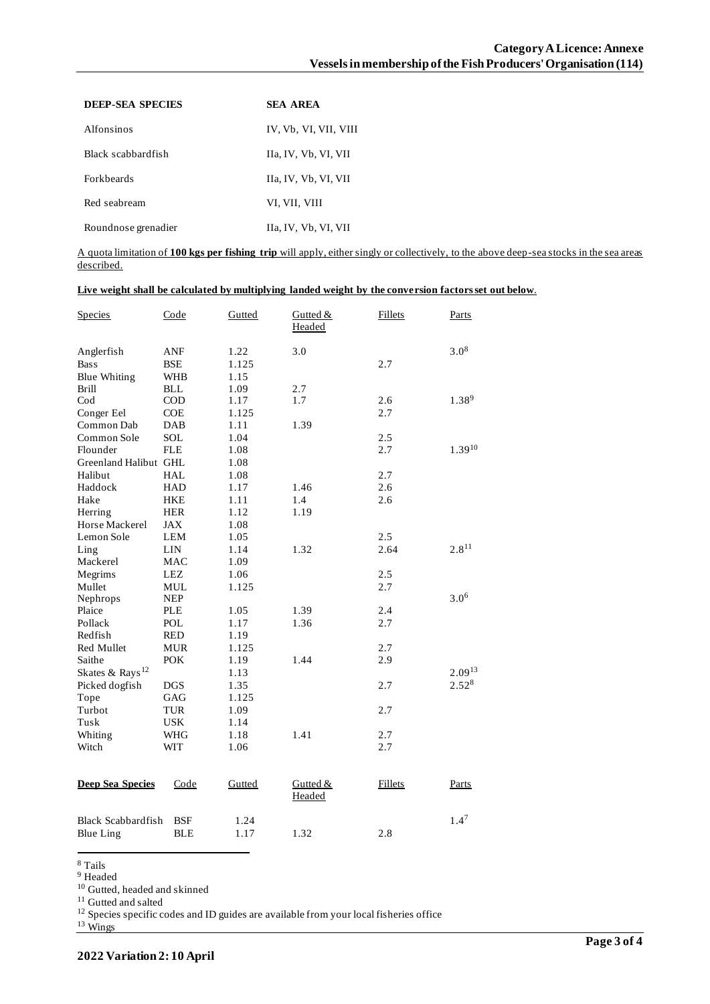| <b>DEEP-SEA SPECIES</b> | <b>SEA AREA</b>       |
|-------------------------|-----------------------|
| Alfonsinos              | IV, Vb, VI, VII, VIII |
| Black scabbardfish      | IIa, IV, Vb, VI, VII  |
| <b>Forkheards</b>       | IIa, IV, Vb, VI, VII  |
| Red seabream            | VI, VII, VIII         |
| Roundnose grenadier     | IIa, IV, Vb, VI, VII  |

A quota limitation of **100 kgs per fishing trip** will apply, either singly or collectively, to the above deep-sea stocks in the sea areas described.

### **Live weight shall be calculated by multiplying landed weight by the conversion factors set out below**.

| <b>Species</b>              | Code       | Gutted | Gutted &<br>Headed | <b>Fillets</b> | Parts            |
|-----------------------------|------------|--------|--------------------|----------------|------------------|
| Anglerfish                  | ANF        | 1.22   | 3.0                |                | $3.0^{8}$        |
| <b>Bass</b>                 | <b>BSE</b> | 1.125  |                    | 2.7            |                  |
| <b>Blue Whiting</b>         | <b>WHB</b> | 1.15   |                    |                |                  |
| <b>Brill</b>                | <b>BLL</b> | 1.09   | 2.7                |                |                  |
| $\mathrm{Cod}$              | $\rm COD$  | 1.17   | 1.7                | 2.6            | $1.38^{9}$       |
| Conger Eel                  | <b>COE</b> | 1.125  |                    | 2.7            |                  |
| Common Dab                  | <b>DAB</b> | 1.11   | 1.39               |                |                  |
| Common Sole                 | SOL        | 1.04   |                    | 2.5            |                  |
| Flounder                    | <b>FLE</b> | 1.08   |                    | 2.7            | $1.39^{10}$      |
| Greenland Halibut GHL       |            | 1.08   |                    |                |                  |
| Halibut                     | <b>HAL</b> | 1.08   |                    | 2.7            |                  |
| Haddock                     | <b>HAD</b> | 1.17   | 1.46               | 2.6            |                  |
| Hake                        | <b>HKE</b> | 1.11   | 1.4                | 2.6            |                  |
| Herring                     | HER        | 1.12   | 1.19               |                |                  |
| Horse Mackerel              | JAX        | 1.08   |                    |                |                  |
| Lemon Sole                  | LEM        | 1.05   |                    | 2.5            |                  |
| Ling                        | <b>LIN</b> | 1.14   | 1.32               | 2.64           | $2.8^{11}$       |
| Mackerel                    | <b>MAC</b> | 1.09   |                    |                |                  |
| Megrims                     | <b>LEZ</b> | 1.06   |                    | 2.5            |                  |
| Mullet                      | <b>MUL</b> | 1.125  |                    | 2.7            |                  |
| Nephrops                    | <b>NEP</b> |        |                    |                | $3.0^{6}$        |
| Plaice                      | <b>PLE</b> | 1.05   | 1.39               | 2.4            |                  |
| Pollack                     | <b>POL</b> | 1.17   | 1.36               | 2.7            |                  |
| Redfish                     | <b>RED</b> | 1.19   |                    |                |                  |
| <b>Red Mullet</b>           | <b>MUR</b> | 1.125  |                    | 2.7            |                  |
| Saithe                      | <b>POK</b> | 1.19   | 1.44               | 2.9            |                  |
| Skates & Rays <sup>12</sup> |            | 1.13   |                    |                | $2.09^{13}$      |
| Picked dogfish              | <b>DGS</b> | 1.35   |                    | 2.7            | $2.52^{8}$       |
| Tope                        | GAG        | 1.125  |                    |                |                  |
| Turbot                      | <b>TUR</b> | 1.09   |                    | 2.7            |                  |
| Tusk                        | <b>USK</b> | 1.14   |                    |                |                  |
| Whiting                     | <b>WHG</b> | 1.18   | 1.41               | 2.7            |                  |
| Witch                       | <b>WIT</b> | 1.06   |                    | 2.7            |                  |
| <b>Deep Sea Species</b>     | Code       | Gutted | Gutted &<br>Headed | <b>Fillets</b> | Parts            |
| <b>Black Scabbardfish</b>   | <b>BSF</b> | 1.24   |                    |                | 1.4 <sup>7</sup> |
| <b>Blue Ling</b>            | <b>BLE</b> | 1.17   | 1.32               | 2.8            |                  |

<sup>8</sup> Tails

<sup>9</sup> Headed

<sup>10</sup> Gutted, headed and skinned

 $^{\rm 11}$  Gutted and salted

<sup>12</sup> Species specific codes and ID guides are available from your local fisheries office

 $13 \text{ Wings}$